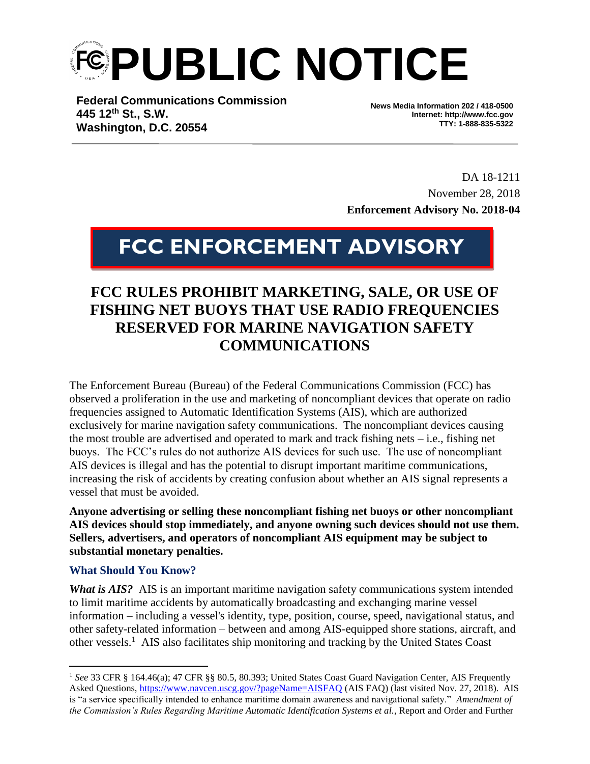**FEPUBLIC NOTICE** 

**Federal Communications Commission 445 12th St., S.W. Washington, D.C. 20554**

**News Media Information 202 / 418-0500 Internet: http://www.fcc.gov TTY: 1-888-835-5322**

DA 18-1211 November 28, 2018 **Enforcement Advisory No. 2018-04**

# **FCC ENFORCEMENT ADVISORY**

# **FCC RULES PROHIBIT MARKETING, SALE, OR USE OF FISHING NET BUOYS THAT USE RADIO FREQUENCIES RESERVED FOR MARINE NAVIGATION SAFETY COMMUNICATIONS**

The Enforcement Bureau (Bureau) of the Federal Communications Commission (FCC) has observed a proliferation in the use and marketing of noncompliant devices that operate on radio frequencies assigned to Automatic Identification Systems (AIS), which are authorized exclusively for marine navigation safety communications. The noncompliant devices causing the most trouble are advertised and operated to mark and track fishing nets – i.e., fishing net buoys. The FCC's rules do not authorize AIS devices for such use. The use of noncompliant AIS devices is illegal and has the potential to disrupt important maritime communications, increasing the risk of accidents by creating confusion about whether an AIS signal represents a vessel that must be avoided.

**Anyone advertising or selling these noncompliant fishing net buoys or other noncompliant AIS devices should stop immediately, and anyone owning such devices should not use them. Sellers, advertisers, and operators of noncompliant AIS equipment may be subject to substantial monetary penalties.** 

## **What Should You Know?**

 $\overline{a}$ 

*What is AIS?* AIS is an important maritime navigation safety communications system intended to limit maritime accidents by automatically broadcasting and exchanging marine vessel information – including a vessel's identity, type, position, course, speed, navigational status, and other safety-related information – between and among AIS-equipped shore stations, aircraft, and other vessels.<sup>1</sup> AIS also facilitates ship monitoring and tracking by the United States Coast

<sup>&</sup>lt;sup>1</sup> See 33 CFR § 164.46(a); 47 CFR §§ 80.5, 80.393; United States Coast Guard Navigation Center, AIS Frequently Asked Questions,<https://www.navcen.uscg.gov/?pageName=AISFAQ> (AIS FAQ) (last visited Nov. 27, 2018). AIS is "a service specifically intended to enhance maritime domain awareness and navigational safety." *Amendment of the Commission's Rules Regarding Maritime Automatic Identification Systems et al.*, Report and Order and Further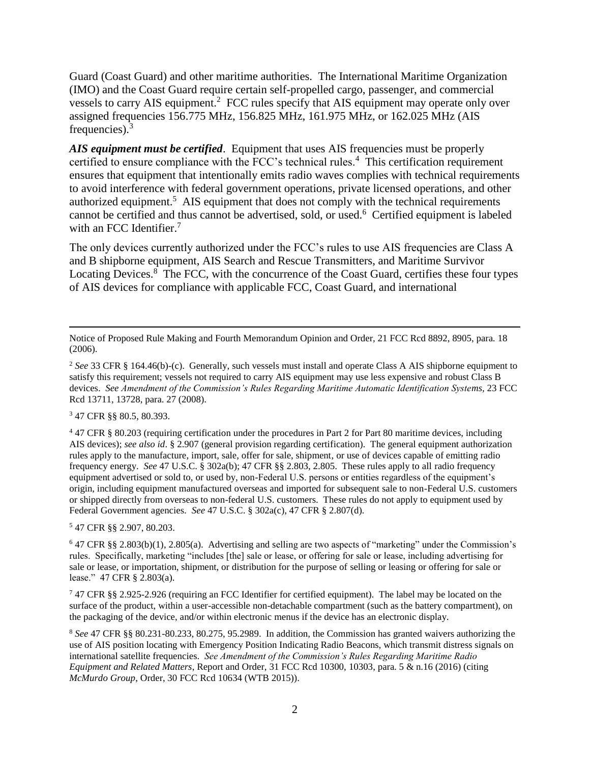Guard (Coast Guard) and other maritime authorities. The International Maritime Organization (IMO) and the Coast Guard require certain self-propelled cargo, passenger, and commercial vessels to carry AIS equipment.<sup>2</sup> FCC rules specify that AIS equipment may operate only over assigned frequencies 156.775 MHz, 156.825 MHz, 161.975 MHz, or 162.025 MHz (AIS frequencies). $3$ 

AIS equipment must be certified. Equipment that uses AIS frequencies must be properly certified to ensure compliance with the FCC's technical rules.<sup>4</sup> This certification requirement ensures that equipment that intentionally emits radio waves complies with technical requirements to avoid interference with federal government operations, private licensed operations, and other authorized equipment.<sup>5</sup> AIS equipment that does not comply with the technical requirements cannot be certified and thus cannot be advertised, sold, or used.<sup>6</sup> Certified equipment is labeled with an FCC Identifier.<sup>7</sup>

The only devices currently authorized under the FCC's rules to use AIS frequencies are Class A and B shipborne equipment, AIS Search and Rescue Transmitters, and Maritime Survivor Locating Devices.<sup>8</sup> The FCC, with the concurrence of the Coast Guard, certifies these four types of AIS devices for compliance with applicable FCC, Coast Guard, and international

<sup>3</sup> 47 CFR §§ 80.5, 80.393.

 $\overline{a}$ 

<sup>4</sup> 47 CFR § 80.203 (requiring certification under the procedures in Part 2 for Part 80 maritime devices, including AIS devices); *see also id*. § 2.907 (general provision regarding certification). The general equipment authorization rules apply to the manufacture, import, sale, offer for sale, shipment, or use of devices capable of emitting radio frequency energy. *See* 47 U.S.C. § 302a(b); 47 CFR §§ 2.803, 2.805. These rules apply to all radio frequency equipment advertised or sold to, or used by, non-Federal U.S. persons or entities regardless of the equipment's origin, including equipment manufactured overseas and imported for subsequent sale to non-Federal U.S. customers or shipped directly from overseas to non-federal U.S. customers. These rules do not apply to equipment used by Federal Government agencies. *See* 47 U.S.C. § 302a(c), 47 CFR § 2.807(d).

<sup>5</sup> 47 CFR §§ 2.907, 80.203.

<sup>6</sup> 47 CFR §§ 2.803(b)(1), 2.805(a). Advertising and selling are two aspects of "marketing" under the Commission's rules. Specifically, marketing "includes [the] sale or lease, or offering for sale or lease, including advertising for sale or lease, or importation, shipment, or distribution for the purpose of selling or leasing or offering for sale or lease." 47 CFR § 2.803(a).

<sup>7</sup> 47 CFR §§ 2.925-2.926 (requiring an FCC Identifier for certified equipment). The label may be located on the surface of the product, within a user-accessible non-detachable compartment (such as the battery compartment), on the packaging of the device, and/or within electronic menus if the device has an electronic display.

<sup>8</sup> *See* 47 CFR §§ 80.231-80.233, 80.275, 95.2989. In addition, the Commission has granted waivers authorizing the use of AIS position locating with Emergency Position Indicating Radio Beacons, which transmit distress signals on international satellite frequencies. *See Amendment of the Commission's Rules Regarding Maritime Radio Equipment and Related Matters*, Report and Order, 31 FCC Rcd 10300, 10303, para. 5 & n.16 (2016) (citing *McMurdo Group*, Order, 30 FCC Rcd 10634 (WTB 2015)).

Notice of Proposed Rule Making and Fourth Memorandum Opinion and Order, 21 FCC Rcd 8892, 8905, para. 18 (2006).

<sup>2</sup> *See* 33 CFR § 164.46(b)-(c). Generally, such vessels must install and operate Class A AIS shipborne equipment to satisfy this requirement; vessels not required to carry AIS equipment may use less expensive and robust Class B devices. *See Amendment of the Commission's Rules Regarding Maritime Automatic Identification Systems,* 23 FCC Rcd 13711, 13728, para. 27 (2008).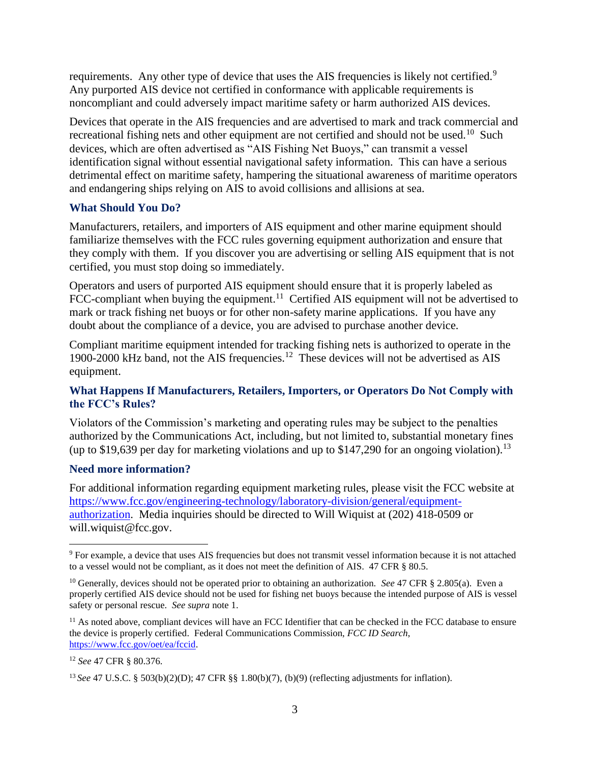requirements. Any other type of device that uses the AIS frequencies is likely not certified.<sup>9</sup> Any purported AIS device not certified in conformance with applicable requirements is noncompliant and could adversely impact maritime safety or harm authorized AIS devices.

Devices that operate in the AIS frequencies and are advertised to mark and track commercial and recreational fishing nets and other equipment are not certified and should not be used.<sup>10</sup> Such devices, which are often advertised as "AIS Fishing Net Buoys," can transmit a vessel identification signal without essential navigational safety information. This can have a serious detrimental effect on maritime safety, hampering the situational awareness of maritime operators and endangering ships relying on AIS to avoid collisions and allisions at sea.

#### **What Should You Do?**

Manufacturers, retailers, and importers of AIS equipment and other marine equipment should familiarize themselves with the FCC rules governing equipment authorization and ensure that they comply with them. If you discover you are advertising or selling AIS equipment that is not certified, you must stop doing so immediately.

Operators and users of purported AIS equipment should ensure that it is properly labeled as FCC-compliant when buying the equipment.<sup>11</sup> Certified AIS equipment will not be advertised to mark or track fishing net buoys or for other non-safety marine applications. If you have any doubt about the compliance of a device, you are advised to purchase another device.

Compliant maritime equipment intended for tracking fishing nets is authorized to operate in the 1900-2000 kHz band, not the AIS frequencies.<sup>12</sup> These devices will not be advertised as AIS equipment.

## **What Happens If Manufacturers, Retailers, Importers, or Operators Do Not Comply with the FCC's Rules?**

Violators of the Commission's marketing and operating rules may be subject to the penalties authorized by the Communications Act, including, but not limited to, substantial monetary fines (up to \$19,639 per day for marketing violations and up to \$147,290 for an ongoing violation).<sup>13</sup>

#### **Need more information?**

For additional information regarding equipment marketing rules, please visit the FCC website at [https://www.fcc.gov/engineering-technology/laboratory-division/general/equipment](https://www.fcc.gov/engineering-technology/laboratory-division/general/equipment-authorization)[authorization.](https://www.fcc.gov/engineering-technology/laboratory-division/general/equipment-authorization) Media inquiries should be directed to Will Wiquist at (202) 418-0509 or will.wiquist@fcc.gov.

 $\overline{a}$ 

<sup>&</sup>lt;sup>9</sup> For example, a device that uses AIS frequencies but does not transmit vessel information because it is not attached to a vessel would not be compliant, as it does not meet the definition of AIS. 47 CFR § 80.5.

<sup>&</sup>lt;sup>10</sup> Generally, devices should not be operated prior to obtaining an authorization. *See* 47 CFR § 2.805(a). Even a properly certified AIS device should not be used for fishing net buoys because the intended purpose of AIS is vessel safety or personal rescue. *See supra* note 1.

 $11$  As noted above, compliant devices will have an FCC Identifier that can be checked in the FCC database to ensure the device is properly certified. Federal Communications Commission, *FCC ID Search*, [https://www.fcc.gov/oet/ea/fccid.](https://www.fcc.gov/oet/ea/fccid)

<sup>12</sup> *See* 47 CFR § 80.376.

<sup>13</sup> *See* 47 U.S.C. § 503(b)(2)(D); 47 CFR §§ 1.80(b)(7), (b)(9) (reflecting adjustments for inflation).